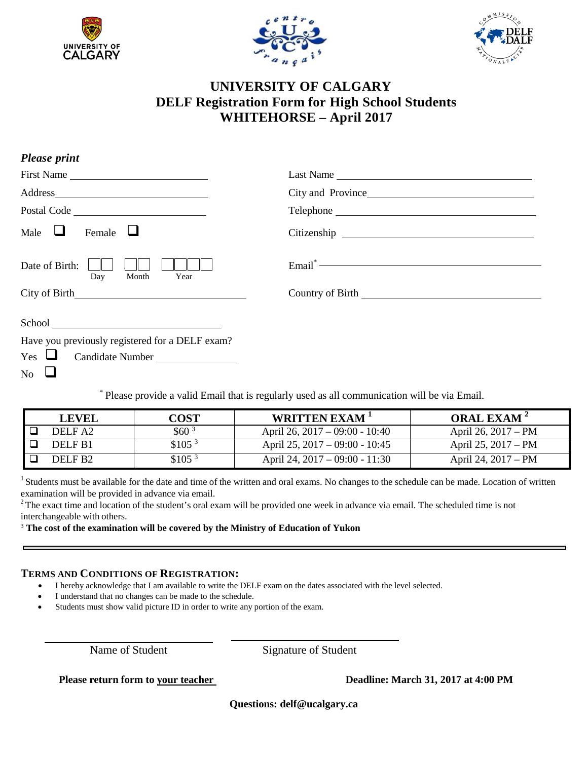





## **UNIVERSITY OF CALGARY DELF Registration Form for High School Students WHITEHORSE – April 2017**

| <b>Please print</b>                             |                    |
|-------------------------------------------------|--------------------|
| First Name                                      | Last Name          |
|                                                 | City and Province  |
| Postal Code                                     |                    |
| Male $\Box$<br>Female $\Box$                    |                    |
| Date of Birth:<br>Day<br>Month<br>Year          | $\textbf{Email}^*$ |
|                                                 |                    |
|                                                 |                    |
| Have you previously registered for a DELF exam? |                    |
| $Yes \Box$<br>Candidate Number                  |                    |
| $\overline{N_0}$ $\Box$                         |                    |

\* Please provide a valid Email that is regularly used as all communication will be via Email.

| LEVEI.             | COST               | WRITTEN EXAM <sup>1</sup>        | <b>ORAL EXAM</b> <sup>2</sup> |
|--------------------|--------------------|----------------------------------|-------------------------------|
| DELF A2            | \$60 <sup>3</sup>  | April 26, $2017 - 09:00 - 10:40$ | April 26, 2017 – PM           |
| DELF <sub>B1</sub> | \$105 <sup>3</sup> | April 25, $2017 - 09:00 - 10:45$ | April 25, 2017 – PM           |
| DELF <sub>R2</sub> | \$105 <sup>3</sup> | April 24, $2017 - 09:00 - 11:30$ | April 24, 2017 – PM           |

 $1$  Students must be available for the date and time of the written and oral exams. No changes to the schedule can be made. Location of written examination will be provided in advance via email.

 $2$  The exact time and location of the student's oral exam will be provided one week in advance via email. The scheduled time is not interchangeable with others.

<sup>3</sup> **The cost of the examination will be covered by the Ministry of Education of Yukon**

## **TERMS AND CONDITIONS OF REGISTRATION:**

- I hereby acknowledge that I am available to write the DELF exam on the dates associated with the level selected.
- I understand that no changes can be made to the schedule.
- Students must show valid picture ID in order to write any portion of the exam.

Name of Student Signature of Student

**Please return form to your teacher Deadline: March 31, 2017 at 4:00 PM**

**Questions: [delf@ucalgary.ca](mailto:delf@ucalgary.ca)**